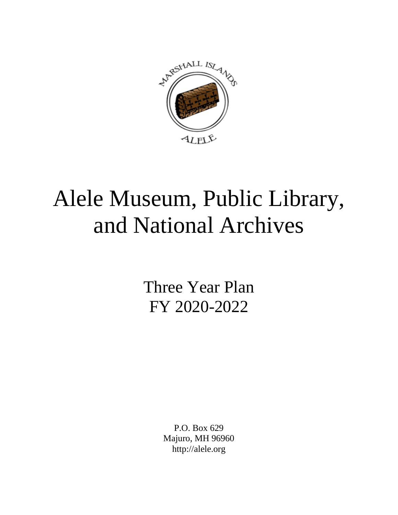

# Alele Museum, Public Library, and National Archives

Three Year Plan FY 2020-2022

> P.O. Box 629 Majuro, MH 96960 http://alele.org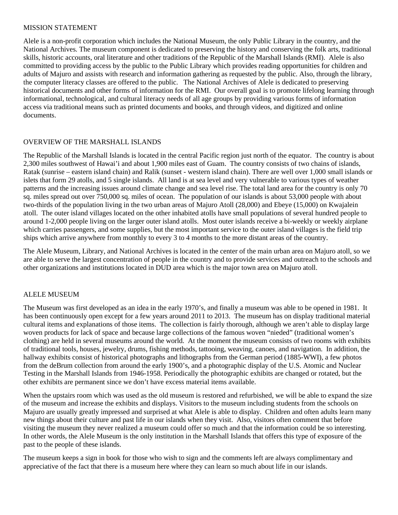#### MISSION STATEMENT

Alele is a non-profit corporation which includes the National Museum, the only Public Library in the country, and the National Archives. The museum component is dedicated to preserving the history and conserving the folk arts, traditional skills, historic accounts, oral literature and other traditions of the Republic of the Marshall Islands (RMI). Alele is also committed to providing access by the public to the Public Library which provides reading opportunities for children and adults of Majuro and assists with research and information gathering as requested by the public. Also, through the library, the computer literacy classes are offered to the public. The National Archives of Alele is dedicated to preserving historical documents and other forms of information for the RMI. Our overall goal is to promote lifelong learning through informational, technological, and cultural literacy needs of all age groups by providing various forms of information access via traditional means such as printed documents and books, and through videos, and digitized and online documents.

#### OVERVIEW OF THE MARSHALL ISLANDS

The Republic of the Marshall Islands is located in the central Pacific region just north of the equator. The country is about 2,300 miles southwest of Hawai'i and about 1,900 miles east of Guam. The country consists of two chains of islands, Ratak (sunrise – eastern island chain) and Ralik (sunset - western island chain). There are well over 1,000 small islands or islets that form 29 atolls, and 5 single islands. All land is at sea level and very vulnerable to various types of weather patterns and the increasing issues around climate change and sea level rise. The total land area for the country is only 70 sq. miles spread out over 750,000 sq. miles of ocean. The population of our islands is about 53,000 people with about two-thirds of the population living in the two urban areas of Majuro Atoll (28,000) and Ebeye (15,000) on Kwajalein atoll. The outer island villages located on the other inhabited atolls have small populations of several hundred people to around 1-2,000 people living on the larger outer island atolls. Most outer islands receive a bi-weekly or weekly airplane which carries passengers, and some supplies, but the most important service to the outer island villages is the field trip ships which arrive anywhere from monthly to every 3 to 4 months to the more distant areas of the country.

The Alele Museum, Library, and National Archives is located in the center of the main urban area on Majuro atoll, so we are able to serve the largest concentration of people in the country and to provide services and outreach to the schools and other organizations and institutions located in DUD area which is the major town area on Majuro atoll.

# ALELE MUSEUM

The Museum was first developed as an idea in the early 1970's, and finally a museum was able to be opened in 1981. It has been continuously open except for a few years around 2011 to 2013. The museum has on display traditional material cultural items and explanations of those items. The collection is fairly thorough, although we aren't able to display large woven products for lack of space and because large collections of the famous woven "nieded" (traditional women's clothing) are held in several museums around the world. At the moment the museum consists of two rooms with exhibits of traditional tools, houses, jewelry, drums, fishing methods, tattooing, weaving, canoes, and navigation. In addition, the hallway exhibits consist of historical photographs and lithographs from the German period (1885-WWI), a few photos from the deBrum collection from around the early 1900's, and a photographic display of the U.S. Atomic and Nuclear Testing in the Marshall Islands from 1946-1958. Periodically the photographic exhibits are changed or rotated, but the other exhibits are permanent since we don't have excess material items available.

When the upstairs room which was used as the old museum is restored and refurbished, we will be able to expand the size of the museum and increase the exhibits and displays. Visitors to the museum including students from the schools on Majuro are usually greatly impressed and surprised at what Alele is able to display. Children and often adults learn many new things about their culture and past life in our islands when they visit. Also, visitors often comment that before visiting the museum they never realized a museum could offer so much and that the information could be so interesting. In other words, the Alele Museum is the only institution in the Marshall Islands that offers this type of exposure of the past to the people of these islands.

The museum keeps a sign in book for those who wish to sign and the comments left are always complimentary and appreciative of the fact that there is a museum here where they can learn so much about life in our islands.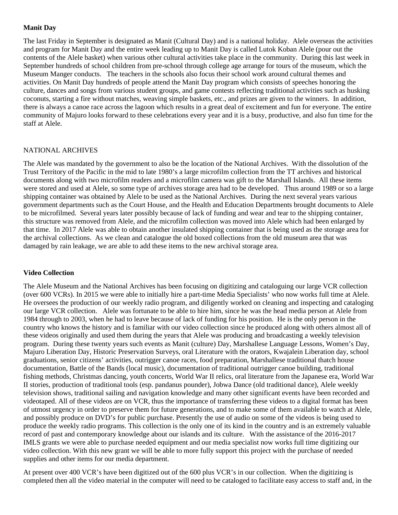#### **Manit Day**

The last Friday in September is designated as Manit (Cultural Day) and is a national holiday. Alele overseas the activities and program for Manit Day and the entire week leading up to Manit Day is called Lutok Koban Alele (pour out the contents of the Alele basket) when various other cultural activities take place in the community. During this last week in September hundreds of school children from pre-school through college age arrange for tours of the museum, which the Museum Manger conducts. The teachers in the schools also focus their school work around cultural themes and activities. On Manit Day hundreds of people attend the Manit Day program which consists of speeches honoring the culture, dances and songs from various student groups, and game contests reflecting traditional activities such as husking coconuts, starting a fire without matches, weaving simple baskets, etc., and prizes are given to the winners. In addition, there is always a canoe race across the lagoon which results in a great deal of excitement and fun for everyone. The entire community of Majuro looks forward to these celebrations every year and it is a busy, productive, and also fun time for the staff at Alele.

#### NATIONAL ARCHIVES

The Alele was mandated by the government to also be the location of the National Archives. With the dissolution of the Trust Territory of the Pacific in the mid to late 1980's a large microfilm collection from the TT archives and historical documents along with two microfilm readers and a microfilm camera was gift to the Marshall Islands. All these items were stored and used at Alele, so some type of archives storage area had to be developed. Thus around 1989 or so a large shipping container was obtained by Alele to be used as the National Archives. During the next several years various government departments such as the Court House, and the Health and Education Departments brought documents to Alele to be microfilmed. Several years later possibly because of lack of funding and wear and tear to the shipping container, this structure was removed from Alele, and the microfilm collection was moved into Alele which had been enlarged by that time. In 2017 Alele was able to obtain another insulated shipping container that is being used as the storage area for the archival collections. As we clean and catalogue the old boxed collections from the old museum area that was damaged by rain leakage, we are able to add these items to the new archival storage area.

#### **Video Collection**

The Alele Museum and the National Archives has been focusing on digitizing and cataloguing our large VCR collection (over 600 VCRs). In 2015 we were able to initially hire a part-time Media Specialists' who now works full time at Alele. He oversees the production of our weekly radio program, and diligently worked on cleaning and inspecting and cataloging our large VCR collection. Alele was fortunate to be able to hire him, since he was the head media person at Alele from 1984 through to 2003, when he had to leave because of lack of funding for his position. He is the only person in the country who knows the history and is familiar with our video collection since he produced along with others almost all of these videos originally and used them during the years that Alele was producing and broadcasting a weekly television program. During these twenty years such events as Manit (culture) Day, Marshallese Language Lessons, Women's Day, Majuro Liberation Day, Historic Preservation Surveys, oral Literature with the orators, Kwajalein Liberation day, school graduations, senior citizens' activities, outrigger canoe races, food preparation, Marshallese traditional thatch house documentation, Battle of the Bands (local music), documentation of traditional outrigger canoe building, traditional fishing methods, Christmas dancing, youth concerts, World War II relics, oral literature from the Japanese era, World War II stories, production of traditional tools (esp. pandanus pounder), Jobwa Dance (old traditional dance), Alele weekly television shows, traditional sailing and navigation knowledge and many other significant events have been recorded and videotaped. All of these videos are on VCR, thus the importance of transferring these videos to a digital format has been of utmost urgency in order to preserve them for future generations, and to make some of them available to watch at Alele, and possibly produce on DVD's for public purchase. Presently the use of audio on some of the videos is being used to produce the weekly radio programs. This collection is the only one of its kind in the country and is an extremely valuable record of past and contemporary knowledge about our islands and its culture. With the assistance of the 2016-2017 IMLS grants we were able to purchase needed equipment and our media specialist now works full time digitizing our video collection. With this new grant we will be able to more fully support this project with the purchase of needed supplies and other items for our media department.

At present over 400 VCR's have been digitized out of the 600 plus VCR's in our collection. When the digitizing is completed then all the video material in the computer will need to be cataloged to facilitate easy access to staff and, in the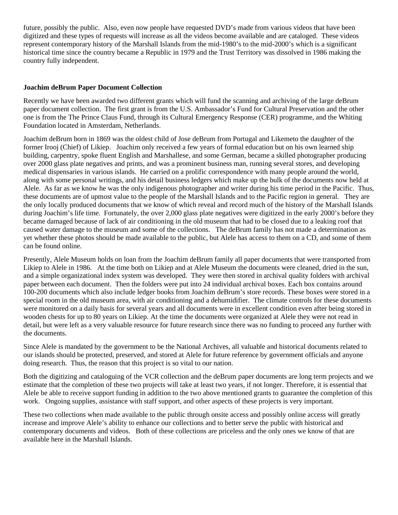future, possibly the public. Also, even now people have requested DVD's made from various videos that have been digitized and these types of requests will increase as all the videos become available and are cataloged. These videos represent contemporary history of the Marshall Islands from the mid-1980's to the mid-2000's which is a significant historical time since the country became a Republic in 1979 and the Trust Territory was dissolved in 1986 making the country fully independent.

#### **Joachim deBrum Paper Document Collection**

Recently we have been awarded two different grants which will fund the scanning and archiving of the large deBrum paper document collection. The first grant is from the U.S. Ambassador's Fund for Cultural Preservation and the other one is from the The Prince Claus Fund, through its Cultural Emergency Response (CER) programme, and the Whiting Foundation located in Amsterdam, Netherlands.

Joachim deBrum born in 1869 was the oldest child of Jose deBrum from Portugal and Likemeto the daughter of the former Irooj (Chief) of Likiep. Joachim only received a few years of formal education but on his own learned ship building, carpentry, spoke fluent English and Marshallese, and some German, became a skilled photographer producing over 2000 glass plate negatives and prints, and was a prominent business man, running several stores, and developing medical dispensaries in various islands. He carried on a prolific correspondence with many people around the world, along with some personal writings, and his detail business ledgers which make up the bulk of the documents now held at Alele. As far as we know he was the only indigenous photographer and writer during his time period in the Pacific. Thus, these documents are of upmost value to the people of the Marshall Islands and to the Pacific region in general. They are the only locally produced documents that we know of which reveal and record much of the history of the Marshall Islands during Joachim's life time. Fortunately, the over 2,000 glass plate negatives were digitized in the early 2000's before they became damaged because of lack of air conditioning in the old museum that had to be closed due to a leaking roof that caused water damage to the museum and some of the collections. The deBrum family has not made a determination as yet whether these photos should be made available to the public, but Alele has access to them on a CD, and some of them can be found online.

Presently, Alele Museum holds on loan from the Joachim deBrum family all paper documents that were transported from Likiep to Alele in 1986. At the time both on Likiep and at Alele Museum the documents were cleaned, dried in the sun, and a simple organizational index system was developed. They were then stored in archival quality folders with archival paper between each document. Then the folders were put into 24 individual archival boxes. Each box contains around 100-200 documents which also include ledger books from Joachim deBrum's store records. These boxes were stored in a special room in the old museum area, with air conditioning and a dehumidifier. The climate controls for these documents were monitored on a daily basis for several years and all documents were in excellent condition even after being stored in wooden chests for up to 80 years on Likiep. At the time the documents were organized at Alele they were not read in detail, but were left as a very valuable resource for future research since there was no funding to proceed any further with the documents.

Since Alele is mandated by the government to be the National Archives, all valuable and historical documents related to our islands should be protected, preserved, and stored at Alele for future reference by government officials and anyone doing research. Thus, the reason that this project is so vital to our nation.

Both the digitizing and cataloguing of the VCR collection and the deBrum paper documents are long term projects and we estimate that the completion of these two projects will take at least two years, if not longer. Therefore, it is essential that Alele be able to receive support funding in addition to the two above mentioned grants to guarantee the completion of this work. Ongoing supplies, assistance with staff support, and other aspects of these projects is very important.

These two collections when made available to the public through onsite access and possibly online access will greatly increase and improve Alele's ability to enhance our collections and to better serve the public with historical and contemporary documents and videos. Both of these collections are priceless and the only ones we know of that are available here in the Marshall Islands.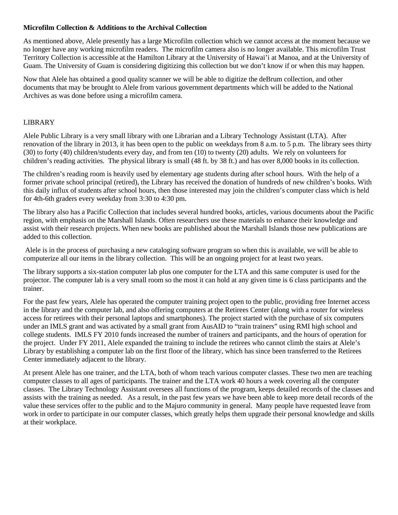## **Microfilm Collection & Additions to the Archival Collection**

As mentioned above, Alele presently has a large Microfilm collection which we cannot access at the moment because we no longer have any working microfilm readers. The microfilm camera also is no longer available. This microfilm Trust Territory Collection is accessible at the Hamilton Library at the University of Hawai'i at Manoa, and at the University of Guam. The University of Guam is considering digitizing this collection but we don't know if or when this may happen.

Now that Alele has obtained a good quality scanner we will be able to digitize the deBrum collection, and other documents that may be brought to Alele from various government departments which will be added to the National Archives as was done before using a microfilm camera.

#### LIBRARY

Alele Public Library is a very small library with one Librarian and a Library Technology Assistant (LTA). After renovation of the library in 2013, it has been open to the public on weekdays from 8 a.m. to 5 p.m. The library sees thirty (30) to forty (40) children/students every day, and from ten (10) to twenty (20) adults. We rely on volunteers for children's reading activities. The physical library is small (48 ft. by 38 ft.) and has over 8,000 books in its collection.

The children's reading room is heavily used by elementary age students during after school hours. With the help of a former private school principal (retired), the Library has received the donation of hundreds of new children's books. With this daily influx of students after school hours, then those interested may join the children's computer class which is held for 4th-6th graders every weekday from 3:30 to 4:30 pm.

The library also has a Pacific Collection that includes several hundred books, articles, various documents about the Pacific region, with emphasis on the Marshall Islands. Often researchers use these materials to enhance their knowledge and assist with their research projects. When new books are published about the Marshall Islands those new publications are added to this collection.

Alele is in the process of purchasing a new cataloging software program so when this is available, we will be able to computerize all our items in the library collection. This will be an ongoing project for at least two years.

The library supports a six-station computer lab plus one computer for the LTA and this same computer is used for the projector. The computer lab is a very small room so the most it can hold at any given time is 6 class participants and the trainer.

For the past few years, Alele has operated the computer training project open to the public, providing free Internet access in the library and the computer lab, and also offering computers at the Retirees Center (along with a router for wireless access for retirees with their personal laptops and smartphones). The project started with the purchase of six computers under an IMLS grant and was activated by a small grant from AusAID to "train trainers" using RMI high school and college students. IMLS FY 2010 funds increased the number of trainers and participants, and the hours of operation for the project. Under FY 2011, Alele expanded the training to include the retirees who cannot climb the stairs at Alele's Library by establishing a computer lab on the first floor of the library, which has since been transferred to the Retirees Center immediately adjacent to the library.

At present Alele has one trainer, and the LTA, both of whom teach various computer classes. These two men are teaching computer classes to all ages of participants. The trainer and the LTA work 40 hours a week covering all the computer classes. The Library Technology Assistant oversees all functions of the program, keeps detailed records of the classes and assists with the training as needed. As a result, in the past few years we have been able to keep more detail records of the value these services offer to the public and to the Majuro community in general. Many people have requested leave from work in order to participate in our computer classes, which greatly helps them upgrade their personal knowledge and skills at their workplace.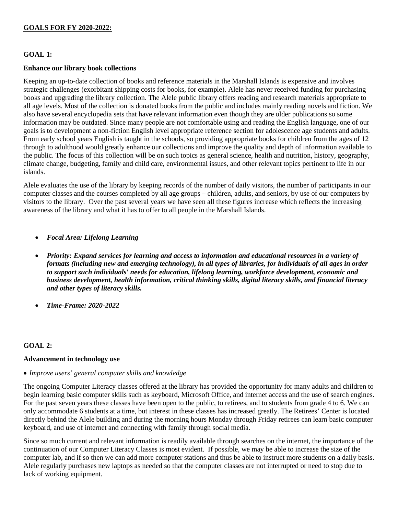#### **GOALS FOR FY 2020-2022:**

## **GOAL 1:**

#### **Enhance our library book collections**

Keeping an up-to-date collection of books and reference materials in the Marshall Islands is expensive and involves strategic challenges (exorbitant shipping costs for books, for example). Alele has never received funding for purchasing books and upgrading the library collection. The Alele public library offers reading and research materials appropriate to all age levels. Most of the collection is donated books from the public and includes mainly reading novels and fiction. We also have several encyclopedia sets that have relevant information even though they are older publications so some information may be outdated. Since many people are not comfortable using and reading the English language, one of our goals is to development a non-fiction English level appropriate reference section for adolescence age students and adults. From early school years English is taught in the schools, so providing appropriate books for children from the ages of 12 through to adulthood would greatly enhance our collections and improve the quality and depth of information available to the public. The focus of this collection will be on such topics as general science, health and nutrition, history, geography, climate change, budgeting, family and child care, environmental issues, and other relevant topics pertinent to life in our islands.

Alele evaluates the use of the library by keeping records of the number of daily visitors, the number of participants in our computer classes and the courses completed by all age groups – children, adults, and seniors, by use of our computers by visitors to the library. Over the past several years we have seen all these figures increase which reflects the increasing awareness of the library and what it has to offer to all people in the Marshall Islands.

- *Focal Area: Lifelong Learning*
- *Priority: Expand services for learning and access to information and educational resources in a variety of formats (including new and emerging technology), in all types of libraries, for individuals of all ages in order to support such individuals' needs for education, lifelong learning, workforce development, economic and business development, health information, critical thinking skills, digital literacy skills, and financial literacy and other types of literacy skills.*
- *Time-Frame: 2020-2022*

#### **GOAL 2:**

#### **Advancement in technology use**

• *Improve users' general computer skills and knowledge*

The ongoing Computer Literacy classes offered at the library has provided the opportunity for many adults and children to begin learning basic computer skills such as keyboard, Microsoft Office, and internet access and the use of search engines. For the past seven years these classes have been open to the public, to retirees, and to students from grade 4 to 6. We can only accommodate 6 students at a time, but interest in these classes has increased greatly. The Retirees' Center is located directly behind the Alele building and during the morning hours Monday through Friday retirees can learn basic computer keyboard, and use of internet and connecting with family through social media.

Since so much current and relevant information is readily available through searches on the internet, the importance of the continuation of our Computer Literacy Classes is most evident. If possible, we may be able to increase the size of the computer lab, and if so then we can add more computer stations and thus be able to instruct more students on a daily basis. Alele regularly purchases new laptops as needed so that the computer classes are not interrupted or need to stop due to lack of working equipment.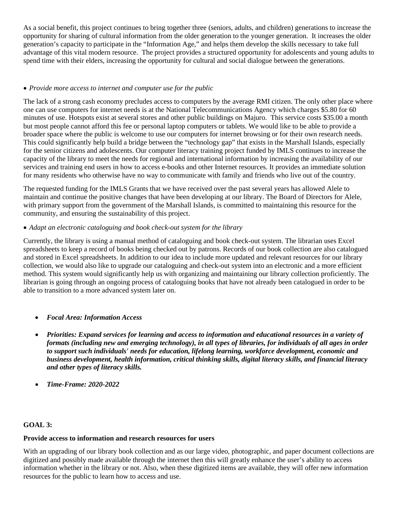As a social benefit, this project continues to bring together three (seniors, adults, and children) generations to increase the opportunity for sharing of cultural information from the older generation to the younger generation. It increases the older generation's capacity to participate in the "Information Age," and helps them develop the skills necessary to take full advantage of this vital modern resource. The project provides a structured opportunity for adolescents and young adults to spend time with their elders, increasing the opportunity for cultural and social dialogue between the generations.

# • *Provide more access to internet and computer use for the public*

The lack of a strong cash economy precludes access to computers by the average RMI citizen. The only other place where one can use computers for internet needs is at the National Telecommunications Agency which charges \$5.80 for 60 minutes of use. Hotspots exist at several stores and other public buildings on Majuro. This service costs \$35.00 a month but most people cannot afford this fee or personal laptop computers or tablets. We would like to be able to provide a broader space where the public is welcome to use our computers for internet browsing or for their own research needs. This could significantly help build a bridge between the "technology gap" that exists in the Marshall Islands, especially for the senior citizens and adolescents. Our computer literacy training project funded by IMLS continues to increase the capacity of the library to meet the needs for regional and international information by increasing the availability of our services and training end users in how to access e-books and other Internet resources. It provides an immediate solution for many residents who otherwise have no way to communicate with family and friends who live out of the country.

The requested funding for the IMLS Grants that we have received over the past several years has allowed Alele to maintain and continue the positive changes that have been developing at our library. The Board of Directors for Alele, with primary support from the government of the Marshall Islands, is committed to maintaining this resource for the community, and ensuring the sustainability of this project.

## • *Adapt an electronic cataloguing and book check-out system for the library*

Currently, the library is using a manual method of cataloguing and book check-out system. The librarian uses Excel spreadsheets to keep a record of books being checked out by patrons. Records of our book collection are also catalogued and stored in Excel spreadsheets. In addition to our idea to include more updated and relevant resources for our library collection, we would also like to upgrade our cataloguing and check-out system into an electronic and a more efficient method. This system would significantly help us with organizing and maintaining our library collection proficiently. The librarian is going through an ongoing process of cataloguing books that have not already been catalogued in order to be able to transition to a more advanced system later on.

- *Focal Area: Information Access*
- *Priorities: Expand services for learning and access to information and educational resources in a variety of formats (including new and emerging technology), in all types of libraries, for individuals of all ages in order to support such individuals' needs for education, lifelong learning, workforce development, economic and business development, health information, critical thinking skills, digital literacy skills, and financial literacy and other types of literacy skills.*
- *Time-Frame: 2020-2022*

# **GOAL 3:**

# **Provide access to information and research resources for users**

With an upgrading of our library book collection and as our large video, photographic, and paper document collections are digitized and possibly made available through the internet then this will greatly enhance the user's ability to access information whether in the library or not. Also, when these digitized items are available, they will offer new information resources for the public to learn how to access and use.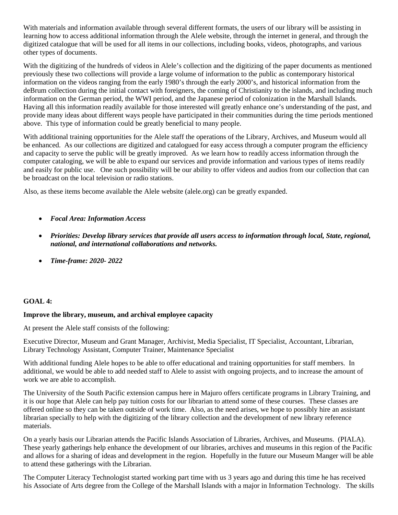With materials and information available through several different formats, the users of our library will be assisting in learning how to access additional information through the Alele website, through the internet in general, and through the digitized catalogue that will be used for all items in our collections, including books, videos, photographs, and various other types of documents.

With the digitizing of the hundreds of videos in Alele's collection and the digitizing of the paper documents as mentioned previously these two collections will provide a large volume of information to the public as contemporary historical information on the videos ranging from the early 1980's through the early 2000's, and historical information from the deBrum collection during the initial contact with foreigners, the coming of Christianity to the islands, and including much information on the German period, the WWI period, and the Japanese period of colonization in the Marshall Islands. Having all this information readily available for those interested will greatly enhance one's understanding of the past, and provide many ideas about different ways people have participated in their communities during the time periods mentioned above. This type of information could be greatly beneficial to many people.

With additional training opportunities for the Alele staff the operations of the Library, Archives, and Museum would all be enhanced. As our collections are digitized and catalogued for easy access through a computer program the efficiency and capacity to serve the public will be greatly improved. As we learn how to readily access information through the computer cataloging, we will be able to expand our services and provide information and various types of items readily and easily for public use. One such possibility will be our ability to offer videos and audios from our collection that can be broadcast on the local television or radio stations.

Also, as these items become available the Alele website (alele.org) can be greatly expanded.

- *Focal Area: Information Access*
- *Priorities: Develop library services that provide all users access to information through local, State, regional, national, and international collaborations and networks.*
- *Time-frame: 2020- 2022*

# **GOAL 4:**

#### **Improve the library, museum, and archival employee capacity**

At present the Alele staff consists of the following:

Executive Director, Museum and Grant Manager, Archivist, Media Specialist, IT Specialist, Accountant, Librarian, Library Technology Assistant, Computer Trainer, Maintenance Specialist

With additional funding Alele hopes to be able to offer educational and training opportunities for staff members. In additional, we would be able to add needed staff to Alele to assist with ongoing projects, and to increase the amount of work we are able to accomplish.

The University of the South Pacific extension campus here in Majuro offers certificate programs in Library Training, and it is our hope that Alele can help pay tuition costs for our librarian to attend some of these courses. These classes are offered online so they can be taken outside of work time. Also, as the need arises, we hope to possibly hire an assistant librarian specially to help with the digitizing of the library collection and the development of new library reference materials.

On a yearly basis our Librarian attends the Pacific Islands Association of Libraries, Archives, and Museums. (PIALA). These yearly gatherings help enhance the development of our libraries, archives and museums in this region of the Pacific and allows for a sharing of ideas and development in the region. Hopefully in the future our Museum Manger will be able to attend these gatherings with the Librarian.

The Computer Literacy Technologist started working part time with us 3 years ago and during this time he has received his Associate of Arts degree from the College of the Marshall Islands with a major in Information Technology. The skills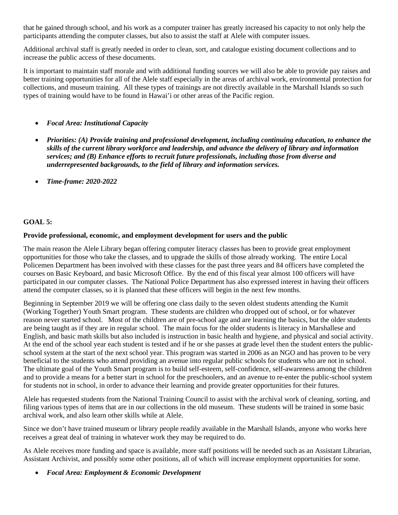that he gained through school, and his work as a computer trainer has greatly increased his capacity to not only help the participants attending the computer classes, but also to assist the staff at Alele with computer issues.

Additional archival staff is greatly needed in order to clean, sort, and catalogue existing document collections and to increase the public access of these documents.

It is important to maintain staff morale and with additional funding sources we will also be able to provide pay raises and better training opportunities for all of the Alele staff especially in the areas of archival work, environmental protection for collections, and museum training. All these types of trainings are not directly available in the Marshall Islands so such types of training would have to be found in Hawai'i or other areas of the Pacific region.

# • *Focal Area: Institutional Capacity*

- *Priorities: (A) Provide training and professional development, including continuing education, to enhance the skills of the current library workforce and leadership, and advance the delivery of library and information services; and (B) Enhance efforts to recruit future professionals, including those from diverse and underrepresented backgrounds, to the field of library and information services.*
- *Time-frame: 2020-2022*

# **GOAL 5:**

#### **Provide professional, economic, and employment development for users and the public**

The main reason the Alele Library began offering computer literacy classes has been to provide great employment opportunities for those who take the classes, and to upgrade the skills of those already working. The entire Local Policemen Department has been involved with these classes for the past three years and 84 officers have completed the courses on Basic Keyboard, and basic Microsoft Office. By the end of this fiscal year almost 100 officers will have participated in our computer classes. The National Police Department has also expressed interest in having their officers attend the computer classes, so it is planned that these officers will begin in the next few months.

Beginning in September 2019 we will be offering one class daily to the seven oldest students attending the Kumit (Working Together) Youth Smart program. These students are children who dropped out of school, or for whatever reason never started school. Most of the children are of pre-school age and are learning the basics, but the older students are being taught as if they are in regular school. The main focus for the older students is literacy in Marshallese and English, and basic math skills but also included is instruction in basic health and hygiene, and physical and social activity. At the end of the school year each student is tested and if he or she passes at grade level then the student enters the publicschool system at the start of the next school year. This program was started in 2006 as an NGO and has proven to be very beneficial to the students who attend providing an avenue into regular public schools for students who are not in school. The ultimate goal of the Youth Smart program is to build self-esteem, self-confidence, self-awareness among the children and to provide a means for a better start in school for the preschoolers, and an avenue to re-enter the public-school system for students not in school, in order to advance their learning and provide greater opportunities for their futures.

Alele has requested students from the National Training Council to assist with the archival work of cleaning, sorting, and filing various types of items that are in our collections in the old museum. These students will be trained in some basic archival work, and also learn other skills while at Alele.

Since we don't have trained museum or library people readily available in the Marshall Islands, anyone who works here receives a great deal of training in whatever work they may be required to do.

As Alele receives more funding and space is available, more staff positions will be needed such as an Assistant Librarian, Assistant Archivist, and possibly some other positions, all of which will increase employment opportunities for some.

• *Focal Area: Employment & Economic Development*